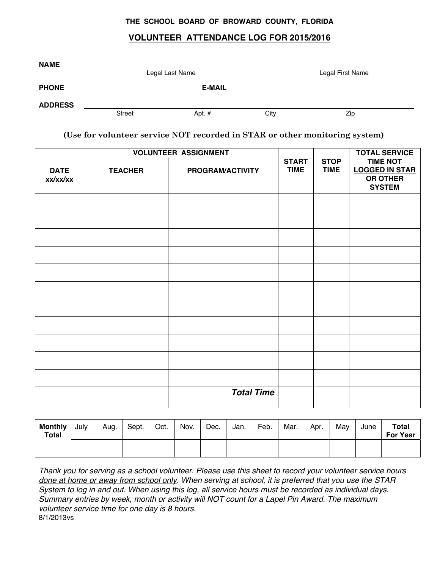## **THE SCHOOL BOARD OF BROWARD COUNTY, FLORIDA**

## **VOLUNTEER ATTENDANCE LOG FOR 2015/2016**

| <b>NAME</b>    |               |                 |      |                  |  |
|----------------|---------------|-----------------|------|------------------|--|
|                |               | Legal Last Name |      | Legal First Name |  |
| <b>PHONE</b>   |               | <b>E-MAIL</b>   |      |                  |  |
| <b>ADDRESS</b> |               |                 |      |                  |  |
|                | <b>Street</b> | Apt. $#$        | City | Zip              |  |

**(Use for volunteer service NOT recorded in STAR or other monitoring system)** 

|                         |                | <b>VOLUNTEER ASSIGNMENT</b> |                             |                            | <b>TOTAL SERVICE</b>                                                  |  |
|-------------------------|----------------|-----------------------------|-----------------------------|----------------------------|-----------------------------------------------------------------------|--|
| <b>DATE</b><br>xx/xx/xx | <b>TEACHER</b> | PROGRAM/ACTIVITY            | <b>START</b><br><b>TIME</b> | <b>STOP</b><br><b>TIME</b> | TIME NOT<br><b>LOGGED IN STAR</b><br><b>OR OTHER</b><br><b>SYSTEM</b> |  |
|                         |                |                             |                             |                            |                                                                       |  |
|                         |                |                             |                             |                            |                                                                       |  |
|                         |                |                             |                             |                            |                                                                       |  |
|                         |                |                             |                             |                            |                                                                       |  |
|                         |                |                             |                             |                            |                                                                       |  |
|                         |                |                             |                             |                            |                                                                       |  |
|                         |                |                             |                             |                            |                                                                       |  |
|                         |                |                             |                             |                            |                                                                       |  |
|                         |                |                             |                             |                            |                                                                       |  |
|                         |                |                             |                             |                            |                                                                       |  |
|                         |                |                             |                             |                            |                                                                       |  |
|                         |                | <b>Total Time</b>           |                             |                            |                                                                       |  |

| <b>Monthly</b><br><b>Total</b> | July | Aug. | Sept. | Oct. | Nov. | Dec. | Jan. | Feb. | Mar. | Apr. | Mav | June | <b>Total</b><br><b>For Year</b> |
|--------------------------------|------|------|-------|------|------|------|------|------|------|------|-----|------|---------------------------------|
|                                |      |      |       |      |      |      |      |      |      |      |     |      |                                 |

*Thank you for serving as a school volunteer. Please use this sheet to record your volunteer service hours done at home or away from school only. When serving at school, it is preferred that you use the STAR System to log in and out. When using this log, all service hours must be recorded as individual days. Summary entries by week, month or activity will NOT count for a Lapel Pin Award. The maximum volunteer service time for one day is 8 hours.* 8/1/2013vs